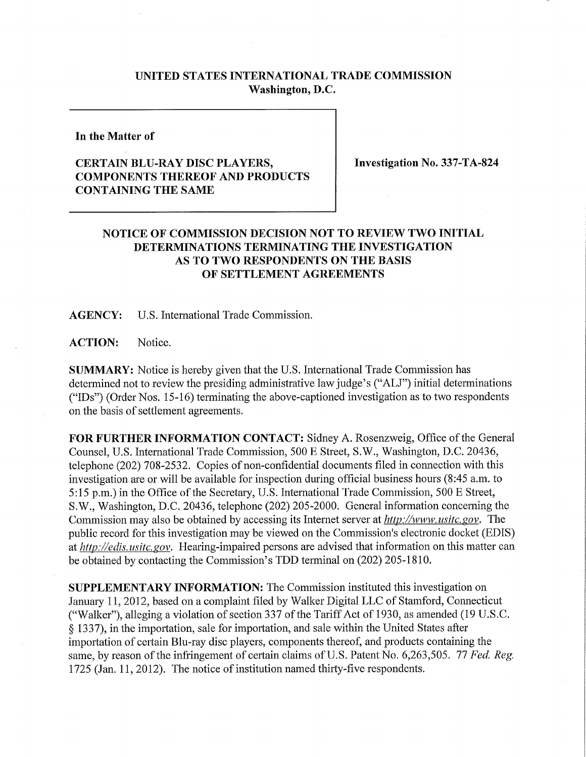## **UNITED STATES INTERNATIONAL TRADE COMMISSION Washington, D.C.**

**In the Matter of** 

## **CERTAIN BLU-RAY DISC PLAYERS, COMPONENTS THEREOF AND PRODUCTS CONTAINING THE SAME**

**Investigation No. 337-TA-824** 

## **NOTICE OF COMMISSION DECISION NOT TO REVIEW TWO INITIAL DETERMINATIONS TERMINATING THE INVESTIGATION AS TO TWO RESPONDENTS ON THE BASIS OF SETTLEMENT AGREEMENTS**

**AGENCY:** U.S. International Trade Commission.

**ACTION:** Notice.

**SUMMARY:** Notice is hereby given that the U.S. International Trade Commission has determined not to review the presiding administrative law judge's ("ALJ") initial determinations  $("IDs")$  (Order Nos. 15-16) terminating the above-captioned investigation as to two respondents on the basis of settlement agreements.

**FOR FURTHER INFORMATION CONTACT:** Sidney A. Rosenzweig, Office of the General Counsel, U.S. International Trade Commission, 500 E Street, S.W., Washington, D.C. 20436, telephone (202) 708-2532. Copies of non-confidential documents filed in connection with this investigation are or will be available for inspection during official business hours (8:45 a.m. to 5:15 p.m.) in the Office of the Secretary, U.S. International Trade Commission, 500 E Street, S.W., Washington, D.C. 20436, telephone (202) 205-2000. General infonnation concerning the Commission may also be obtained by accessing its Internet server at *http://www. usitc, gov.* The public record for this investigation may be viewed on the Commission's electronic docket (EDIS) at *http://edis. usitc. gov.* Hearing-impaired persons are advised that information on this matter can be obtained by contacting the Commission's TDD terminal on (202) 205-1810.

**SUPPLEMENTARY INFORMATION:** The Commission instituted this investigation on January 11, 2012, based on a complaint filed by Walker Digital LLC of Stamford, Connecticut ("Walker"), alleging a violation of section 337 of the Tariff Act of 1930, as amended (19 U.S.C.) § 1337), in the importation, sale for importation, and sale within the United States after importation of certain Blu-ray disc players, components thereof, and products containing the same, by reason of the infringement of certain claims of U.S. Patent No. 6,263,505. 77 *Fed. Reg.*  1725 (Jan. 11, 2012). The notice of institution named thirty-five respondents.